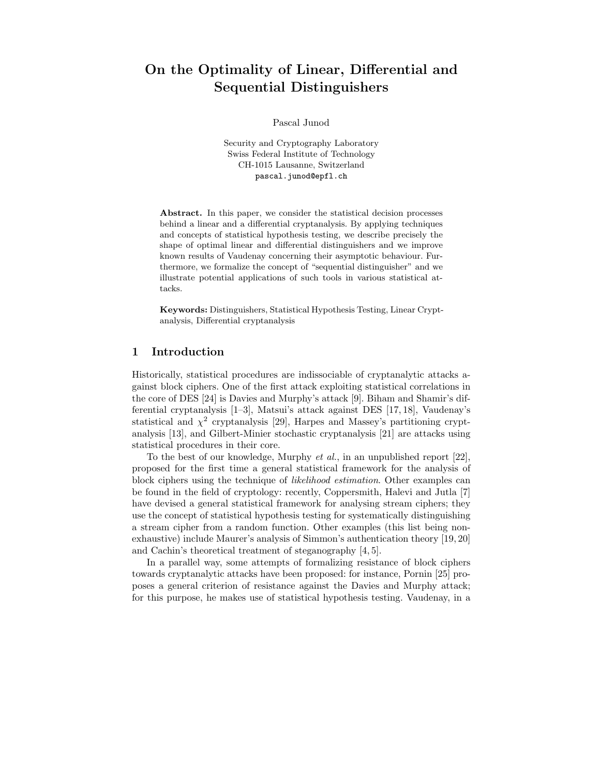# On the Optimality of Linear, Differential and Sequential Distinguishers

Pascal Junod

Security and Cryptography Laboratory Swiss Federal Institute of Technology CH-1015 Lausanne, Switzerland pascal.junod@epfl.ch

Abstract. In this paper, we consider the statistical decision processes behind a linear and a differential cryptanalysis. By applying techniques and concepts of statistical hypothesis testing, we describe precisely the shape of optimal linear and differential distinguishers and we improve known results of Vaudenay concerning their asymptotic behaviour. Furthermore, we formalize the concept of "sequential distinguisher" and we illustrate potential applications of such tools in various statistical attacks.

Keywords: Distinguishers, Statistical Hypothesis Testing, Linear Cryptanalysis, Differential cryptanalysis

### 1 Introduction

Historically, statistical procedures are indissociable of cryptanalytic attacks against block ciphers. One of the first attack exploiting statistical correlations in the core of DES [24] is Davies and Murphy's attack [9]. Biham and Shamir's differential cryptanalysis [1–3], Matsui's attack against DES [17, 18], Vaudenay's statistical and  $\chi^2$  cryptanalysis [29], Harpes and Massey's partitioning cryptanalysis [13], and Gilbert-Minier stochastic cryptanalysis [21] are attacks using statistical procedures in their core.

To the best of our knowledge, Murphy et al., in an unpublished report [22], proposed for the first time a general statistical framework for the analysis of block ciphers using the technique of likelihood estimation. Other examples can be found in the field of cryptology: recently, Coppersmith, Halevi and Jutla [7] have devised a general statistical framework for analysing stream ciphers; they use the concept of statistical hypothesis testing for systematically distinguishing a stream cipher from a random function. Other examples (this list being nonexhaustive) include Maurer's analysis of Simmon's authentication theory [19, 20] and Cachin's theoretical treatment of steganography [4, 5].

In a parallel way, some attempts of formalizing resistance of block ciphers towards cryptanalytic attacks have been proposed: for instance, Pornin [25] proposes a general criterion of resistance against the Davies and Murphy attack; for this purpose, he makes use of statistical hypothesis testing. Vaudenay, in a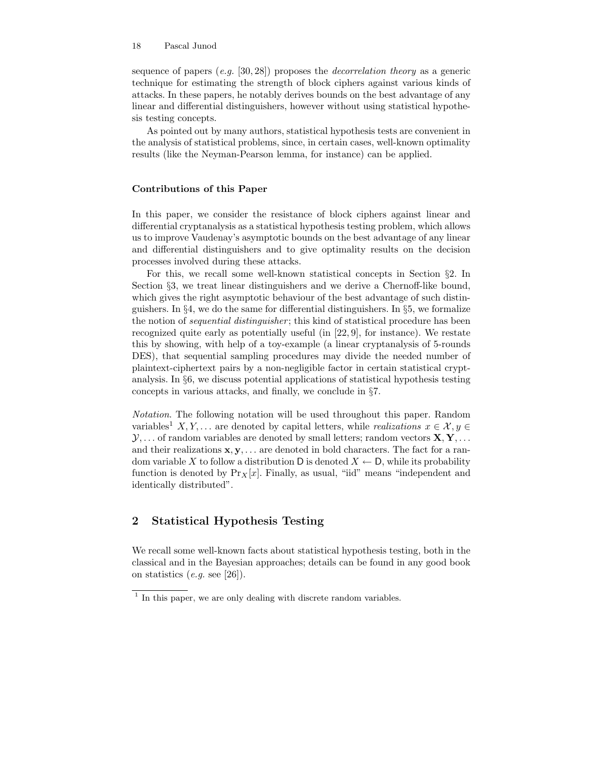sequence of papers  $(e,q, [30, 28])$  proposes the *decorrelation theory* as a generic technique for estimating the strength of block ciphers against various kinds of attacks. In these papers, he notably derives bounds on the best advantage of any linear and differential distinguishers, however without using statistical hypothesis testing concepts.

As pointed out by many authors, statistical hypothesis tests are convenient in the analysis of statistical problems, since, in certain cases, well-known optimality results (like the Neyman-Pearson lemma, for instance) can be applied.

### Contributions of this Paper

In this paper, we consider the resistance of block ciphers against linear and differential cryptanalysis as a statistical hypothesis testing problem, which allows us to improve Vaudenay's asymptotic bounds on the best advantage of any linear and differential distinguishers and to give optimality results on the decision processes involved during these attacks.

For this, we recall some well-known statistical concepts in Section §2. In Section §3, we treat linear distinguishers and we derive a Chernoff-like bound, which gives the right asymptotic behaviour of the best advantage of such distinguishers. In §4, we do the same for differential distinguishers. In §5, we formalize the notion of *sequential distinguisher*; this kind of statistical procedure has been recognized quite early as potentially useful (in [22, 9], for instance). We restate this by showing, with help of a toy-example (a linear cryptanalysis of 5-rounds DES), that sequential sampling procedures may divide the needed number of plaintext-ciphertext pairs by a non-negligible factor in certain statistical cryptanalysis. In §6, we discuss potential applications of statistical hypothesis testing concepts in various attacks, and finally, we conclude in §7.

Notation. The following notation will be used throughout this paper. Random variables<sup>1</sup> X, Y, ... are denoted by capital letters, while realizations  $x \in \mathcal{X}, y \in$  $\mathcal{Y}, \ldots$  of random variables are denoted by small letters; random vectors  $\mathbf{X}, \mathbf{Y}, \ldots$ and their realizations  $x, y, \ldots$  are denoted in bold characters. The fact for a random variable X to follow a distribution D is denoted  $X \leftarrow D$ , while its probability function is denoted by  $Pr_X[x]$ . Finally, as usual, "iid" means "independent and identically distributed".

# 2 Statistical Hypothesis Testing

We recall some well-known facts about statistical hypothesis testing, both in the classical and in the Bayesian approaches; details can be found in any good book on statistics  $(e.g. \text{ see } [26])$ .

<sup>&</sup>lt;sup>1</sup> In this paper, we are only dealing with discrete random variables.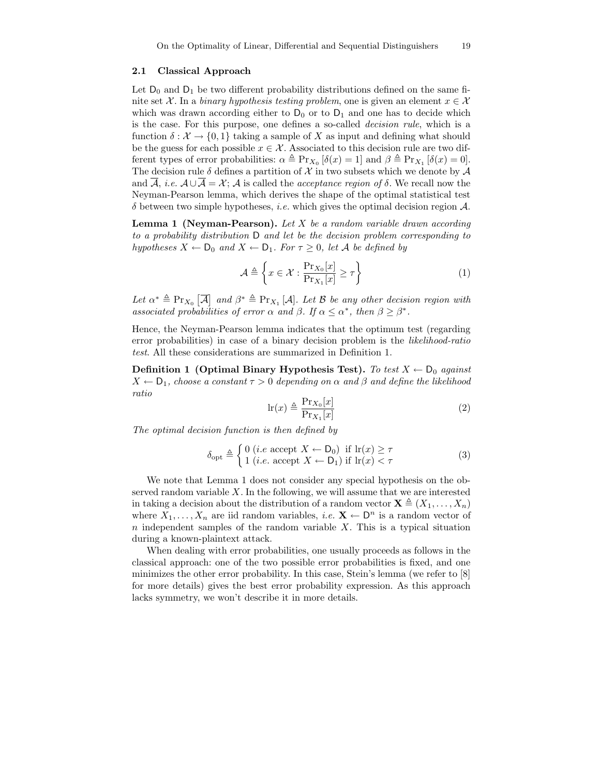#### 2.1 Classical Approach

Let  $D_0$  and  $D_1$  be two different probability distributions defined on the same finite set X. In a binary hypothesis testing problem, one is given an element  $x \in \mathcal{X}$ which was drawn according either to  $D_0$  or to  $D_1$  and one has to decide which is the case. For this purpose, one defines a so-called decision rule, which is a function  $\delta : \mathcal{X} \to \{0, 1\}$  taking a sample of X as input and defining what should be the guess for each possible  $x \in \mathcal{X}$ . Associated to this decision rule are two different types of error probabilities:  $\alpha \triangleq \Pr_{X_0} [\delta(x) = 1]$  and  $\beta \triangleq \Pr_{X_1} [\delta(x) = 0]$ . The decision rule  $\delta$  defines a partition of X in two subsets which we denote by A and  $\overline{A}$ , *i.e.*  $A \cup \overline{A} = X$ ; A is called the *acceptance region of*  $\delta$ . We recall now the Neyman-Pearson lemma, which derives the shape of the optimal statistical test  $\delta$  between two simple hypotheses, *i.e.* which gives the optimal decision region  $\mathcal{A}$ .

**Lemma 1 (Neyman-Pearson).** Let  $X$  be a random variable drawn according to a probability distribution D and let be the decision problem corresponding to hypotheses  $X \leftarrow D_0$  and  $X \leftarrow D_1$ . For  $\tau \geq 0$ , let A be defined by

$$
\mathcal{A} \triangleq \left\{ x \in \mathcal{X} : \frac{\Pr_{X_0}[x]}{\Pr_{X_1}[x]} \ge \tau \right\} \tag{1}
$$

Let  $\alpha^* \triangleq \Pr_{X_0} [\overline{A}]$  and  $\beta^* \triangleq \Pr_{X_1} [A]$ . Let B be any other decision region with associated probabilities of error  $\alpha$  and  $\beta$ . If  $\alpha \leq \alpha^*$ , then  $\beta \geq \beta^*$ .

Hence, the Neyman-Pearson lemma indicates that the optimum test (regarding error probabilities) in case of a binary decision problem is the likelihood-ratio test. All these considerations are summarized in Definition 1.

Definition 1 (Optimal Binary Hypothesis Test). To test  $X \leftarrow D_0$  against  $X \leftarrow D_1$ , choose a constant  $\tau > 0$  depending on  $\alpha$  and  $\beta$  and define the likelihood ratio

$$
\ln(x) \triangleq \frac{\Pr_{X_0}[x]}{\Pr_{X_1}[x]}
$$
 (2)

The optimal decision function is then defined by

$$
\delta_{\text{opt}} \triangleq \begin{cases} 0 \ (i.e \text{ accept } X \leftarrow D_0) \text{ if } \text{lr}(x) \ge \tau \\ 1 \ (i.e. \text{ accept } X \leftarrow D_1) \text{ if } \text{lr}(x) < \tau \end{cases} \tag{3}
$$

We note that Lemma 1 does not consider any special hypothesis on the observed random variable  $X$ . In the following, we will assume that we are interested in taking a decision about the distribution of a random vector  $\mathbf{X} \triangleq (X_1, \ldots, X_n)$ where  $X_1, \ldots, X_n$  are iid random variables, *i.e.*  $X \leftarrow \mathsf{D}^n$  is a random vector of  $n$  independent samples of the random variable  $X$ . This is a typical situation during a known-plaintext attack.

When dealing with error probabilities, one usually proceeds as follows in the classical approach: one of the two possible error probabilities is fixed, and one minimizes the other error probability. In this case, Stein's lemma (we refer to [8] for more details) gives the best error probability expression. As this approach lacks symmetry, we won't describe it in more details.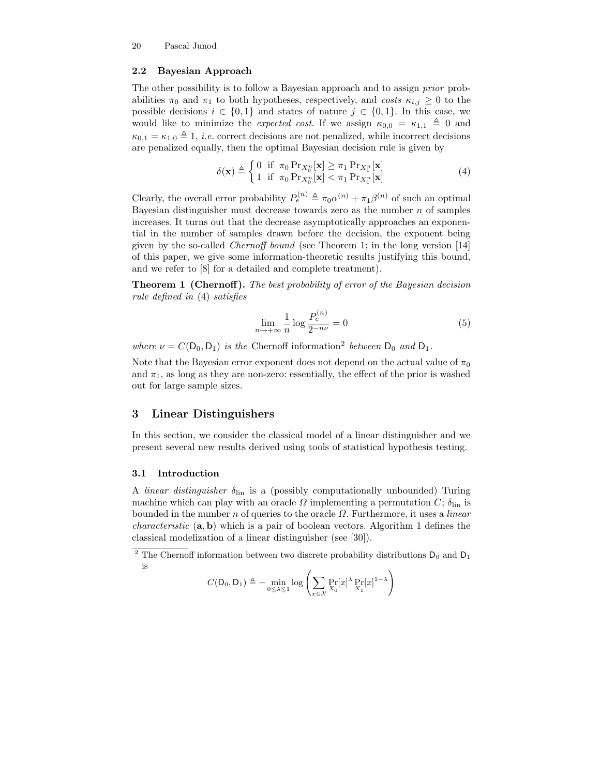### 2.2 Bayesian Approach

The other possibility is to follow a Bayesian approach and to assign prior probabilities  $\pi_0$  and  $\pi_1$  to both hypotheses, respectively, and costs  $\kappa_{i,j} \geq 0$  to the possible decisions  $i \in \{0,1\}$  and states of nature  $j \in \{0,1\}$ . In this case, we would like to minimize the expected cost. If we assign  $\kappa_{0,0} = \kappa_{1,1} \triangleq 0$  and  $\kappa_{0,1} = \kappa_{1,0} \triangleq 1$ , *i.e.* correct decisions are not penalized, while incorrect decisions are penalized equally, then the optimal Bayesian decision rule is given by

$$
\delta(\mathbf{x}) \triangleq \begin{cases} 0 & \text{if } \pi_0 \Pr_{X_0^n}[\mathbf{x}] \ge \pi_1 \Pr_{X_1^n}[\mathbf{x}] \\ 1 & \text{if } \pi_0 \Pr_{X_0^n}[\mathbf{x}] < \pi_1 \Pr_{X_1^n}[\mathbf{x}] \end{cases} \tag{4}
$$

Clearly, the overall error probability  $P_e^{(n)} \triangleq \pi_0 \alpha^{(n)} + \pi_1 \beta^{(n)}$  of such an optimal Bayesian distinguisher must decrease towards zero as the number  $n$  of samples increases. It turns out that the decrease asymptotically approaches an exponential in the number of samples drawn before the decision, the exponent being given by the so-called Chernoff bound (see Theorem 1; in the long version [14] of this paper, we give some information-theoretic results justifying this bound, and we refer to [8] for a detailed and complete treatment).

Theorem 1 (Chernoff). The best probability of error of the Bayesian decision rule defined in (4) satisfies

$$
\lim_{n \to +\infty} \frac{1}{n} \log \frac{P_e^{(n)}}{2^{-n\nu}} = 0
$$
\n(5)

where  $\nu = C(D_0, D_1)$  is the Chernoff information<sup>2</sup> between  $D_0$  and  $D_1$ .

Note that the Bayesian error exponent does not depend on the actual value of  $\pi_0$ and  $\pi_1$ , as long as they are non-zero: essentially, the effect of the prior is washed out for large sample sizes.

### 3 Linear Distinguishers

In this section, we consider the classical model of a linear distinguisher and we present several new results derived using tools of statistical hypothesis testing.

### 3.1 Introduction

A linear distinguisher  $\delta_{lin}$  is a (possibly computationally unbounded) Turing machine which can play with an oracle  $\Omega$  implementing a permutation  $C$ ;  $\delta_{lin}$  is bounded in the number n of queries to the oracle  $\Omega$ . Furthermore, it uses a *linear characteristic*  $(a, b)$  which is a pair of boolean vectors. Algorithm 1 defines the classical modelization of a linear distinguisher (see [30]).

$$
C(\mathsf{D}_0, \mathsf{D}_1) \triangleq - \min_{0 \leq \lambda \leq 1} \log \left( \sum_{x \in \mathcal{X}} \Pr_{X_0} [x]^{\lambda} \Pr_{X_1} [x]^{1-\lambda} \right)
$$

 $^2$  The Chernoff information between two discrete probability distributions  $\mathsf{D}_0$  and  $\mathsf{D}_1$ is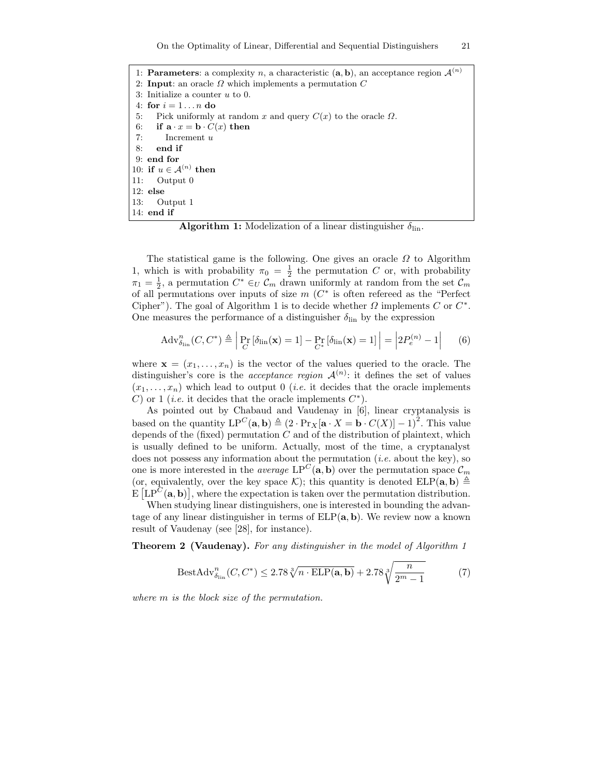1: Parameters: a complexity n, a characteristic  $(a, b)$ , an acceptance region  $\mathcal{A}^{(n)}$ 2: Input: an oracle  $\Omega$  which implements a permutation  $C$ 3: Initialize a counter u to 0. 4: for  $i = 1 \ldots n$  do 5: Pick uniformly at random x and query  $C(x)$  to the oracle  $\Omega$ . 6: if  $\mathbf{a} \cdot x = \mathbf{b} \cdot C(x)$  then 7: Increment u 8: end if 9: end for 10: if  $u \in A^{(n)}$  then 11: Output 0 12: else 13: Output 1 14: end if

**Algorithm 1:** Modelization of a linear distinguisher  $\delta_{lin}$ .

The statistical game is the following. One gives an oracle  $\Omega$  to Algorithm 1, which is with probability  $\pi_0 = \frac{1}{2}$  the permutation C or, with probability  $\pi_1 = \frac{1}{2}$ , a permutation  $C^* \in_U C_m$  drawn uniformly at random from the set  $C_m$ of all permutations over inputs of size  $m(C^*)$  is often refereed as the "Perfect" Cipher"). The goal of Algorithm 1 is to decide whether  $\Omega$  implements  $C$  or  $C^*$ . One measures the performance of a distinguisher  $\delta_{lin}$  by the expression

$$
\mathrm{Adv}_{\delta_{\mathrm{lin}}}^n(C, C^*) \triangleq \left| \Pr_C \left[ \delta_{\mathrm{lin}}(\mathbf{x}) = 1 \right] - \Pr_{C^*} \left[ \delta_{\mathrm{lin}}(\mathbf{x}) = 1 \right] \right| = \left| 2P_e^{(n)} - 1 \right| \tag{6}
$$

where  $\mathbf{x} = (x_1, \ldots, x_n)$  is the vector of the values queried to the oracle. The distinguisher's core is the *acceptance region*  $\mathcal{A}^{(n)}$ : it defines the set of values  $(x_1, \ldots, x_n)$  which lead to output 0 *(i.e.* it decides that the oracle implements C) or 1 (*i.e.* it decides that the oracle implements  $C^*$ ).

As pointed out by Chabaud and Vaudenay in [6], linear cryptanalysis is based on the quantity  $LP^C(\mathbf{a}, \mathbf{b}) \triangleq (2 \cdot Pr_X[\mathbf{a} \cdot X = \mathbf{b} \cdot C(X)] - 1)^2$ . This value depends of the (fixed) permutation  $C$  and of the distribution of plaintext, which is usually defined to be uniform. Actually, most of the time, a cryptanalyst does not possess any information about the permutation  $(i.e.$  about the key), so one is more interested in the *average*  $LP^C(\mathbf{a}, \mathbf{b})$  over the permutation space  $\mathcal{C}_m$ (or, equivalently, over the key space K); this quantity is denoted  $ELP(a, b) \triangleq$  $\mathbb{E} \left[ \text{LP}^C(\mathbf{a}, \mathbf{b}) \right]$ , where the expectation is taken over the permutation distribution.

When studying linear distinguishers, one is interested in bounding the advantage of any linear distinguisher in terms of  $ELP(a, b)$ . We review now a known result of Vaudenay (see [28], for instance).

Theorem 2 (Vaudenay). For any distinguisher in the model of Algorithm 1

$$
\text{BestAdv}_{\delta_{\text{lin}}}^n(C, C^*) \le 2.78 \sqrt[3]{n \cdot \text{ELP}(\mathbf{a}, \mathbf{b})} + 2.78 \sqrt[3]{\frac{n}{2^m - 1}} \tag{7}
$$

where m is the block size of the permutation.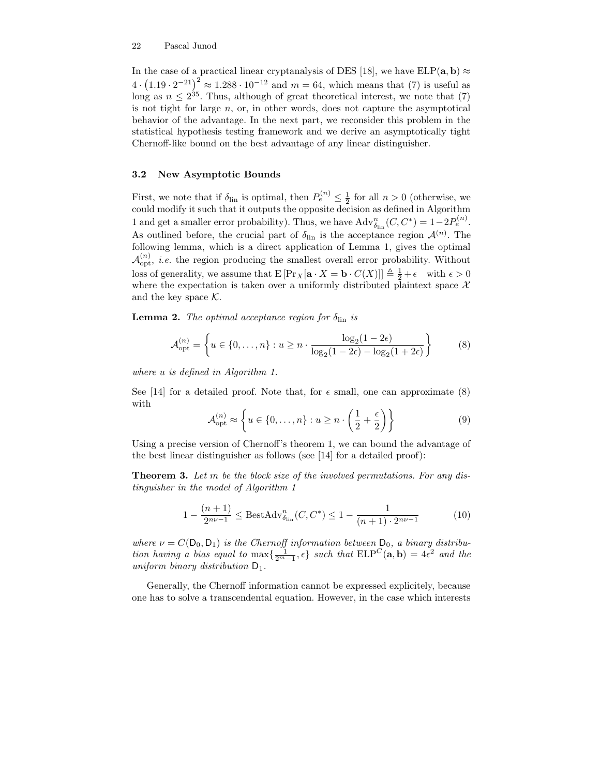In the case of a practical linear cryptanalysis of DES [18], we have  $ELP(a, b) \approx$  $4 \cdot (1.19 \cdot 2^{-21})^2 \approx 1.288 \cdot 10^{-12}$  and  $m = 64$ , which means that (7) is useful as long as  $n \leq 2^{35}$ . Thus, although of great theoretical interest, we note that (7) is not tight for large  $n$ , or, in other words, does not capture the asymptotical behavior of the advantage. In the next part, we reconsider this problem in the statistical hypothesis testing framework and we derive an asymptotically tight Chernoff-like bound on the best advantage of any linear distinguisher.

#### 3.2 New Asymptotic Bounds

First, we note that if  $\delta_{\text{lin}}$  is optimal, then  $P_e^{(n)} \leq \frac{1}{2}$  for all  $n > 0$  (otherwise, we could modify it such that it outputs the opposite decision as defined in Algorithm 1 and get a smaller error probability). Thus, we have  $\text{Adv}_{\delta_{\text{lin}}}^n(C, C^*) = 1 - 2P_e^{(n)}$ . As outlined before, the crucial part of  $\delta_{lin}$  is the acceptance region  $\mathcal{A}^{(n)}$ . The following lemma, which is a direct application of Lemma 1, gives the optimal  $\mathcal{A}_{\text{opt}}^{(n)}$ , *i.e.* the region producing the smallest overall error probability. Without loss of generality, we assume that  $E\left[\Pr_X[\mathbf{a} \cdot X = \mathbf{b} \cdot C(X)]\right] \triangleq \frac{1}{2} + \epsilon$  with  $\epsilon > 0$ where the expectation is taken over a uniformly distributed plaintext space  $\mathcal{X}$ and the key space  $K$ .

**Lemma 2.** The optimal acceptance region for  $\delta_{\text{lin}}$  is

$$
\mathcal{A}_{\text{opt}}^{(n)} = \left\{ u \in \{0, ..., n\} : u \ge n \cdot \frac{\log_2(1 - 2\epsilon)}{\log_2(1 - 2\epsilon) - \log_2(1 + 2\epsilon)} \right\}
$$
(8)

where u is defined in Algorithm 1.

See [14] for a detailed proof. Note that, for  $\epsilon$  small, one can approximate (8) with

$$
\mathcal{A}_{\text{opt}}^{(n)} \approx \left\{ u \in \{0, \dots, n\} : u \ge n \cdot \left(\frac{1}{2} + \frac{\epsilon}{2}\right) \right\}
$$
(9)

Using a precise version of Chernoff's theorem 1, we can bound the advantage of the best linear distinguisher as follows (see [14] for a detailed proof):

**Theorem 3.** Let m be the block size of the involved permutations. For any distinguisher in the model of Algorithm 1

$$
1 - \frac{(n+1)}{2^{n\nu - 1}} \le \text{BestAdv}_{\delta_{\text{lin}}}^n(C, C^*) \le 1 - \frac{1}{(n+1) \cdot 2^{n\nu - 1}} \tag{10}
$$

where  $\nu = C(D_0, D_1)$  is the Chernoff information between  $D_0$ , a binary distribution having a bias equal to  $\max\{\frac{1}{2^m-1}, \epsilon\}$  such that  $\text{ELP}^C(\mathbf{a}, \mathbf{b}) = 4\epsilon^2$  and the uniform binary distribution  $D_1$ .

Generally, the Chernoff information cannot be expressed explicitely, because one has to solve a transcendental equation. However, in the case which interests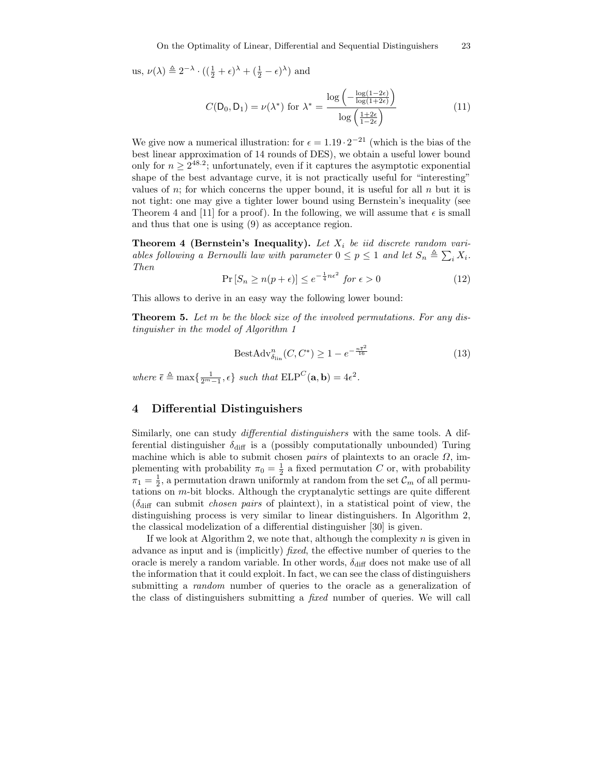us,  $\nu(\lambda) \triangleq 2^{-\lambda} \cdot ((\frac{1}{2} + \epsilon)^{\lambda} + (\frac{1}{2} - \epsilon)^{\lambda})$  and

$$
C(\mathsf{D}_0, \mathsf{D}_1) = \nu(\lambda^*) \text{ for } \lambda^* = \frac{\log\left(-\frac{\log(1-2\epsilon)}{\log(1+2\epsilon)}\right)}{\log\left(\frac{1+2\epsilon}{1-2\epsilon}\right)}\tag{11}
$$

We give now a numerical illustration: for  $\epsilon = 1.19 \cdot 2^{-21}$  (which is the bias of the best linear approximation of 14 rounds of DES), we obtain a useful lower bound only for  $n \geq 2^{48.2}$ ; unfortunately, even if it captures the asymptotic exponential shape of the best advantage curve, it is not practically useful for "interesting" values of n; for which concerns the upper bound, it is useful for all  $n$  but it is not tight: one may give a tighter lower bound using Bernstein's inequality (see Theorem 4 and [11] for a proof). In the following, we will assume that  $\epsilon$  is small and thus that one is using (9) as acceptance region.

**Theorem 4 (Bernstein's Inequality).** Let  $X_i$  be iid discrete random variables following a Bernoulli law with parameter  $0 \le p \le 1$  and let  $S_n \triangleq \sum_i X_i$ . Then

$$
\Pr\left[S_n \ge n(p+\epsilon)\right] \le e^{-\frac{1}{4}n\epsilon^2} \text{ for } \epsilon > 0 \tag{12}
$$

This allows to derive in an easy way the following lower bound:

**Theorem 5.** Let m be the block size of the involved permutations. For any distinguisher in the model of Algorithm 1

$$
BestAdv_{\delta_{lin}}^n(C, C^*) \ge 1 - e^{-\frac{n\overline{\epsilon}^2}{16}} \tag{13}
$$

where  $\bar{\epsilon} \triangleq \max\{\frac{1}{2^m-1}, \epsilon\}$  such that  $\text{ELP}^C(\mathbf{a}, \mathbf{b}) = 4\epsilon^2$ .

### 4 Differential Distinguishers

Similarly, one can study differential distinguishers with the same tools. A differential distinguisher  $\delta_{\text{diff}}$  is a (possibly computationally unbounded) Turing machine which is able to submit chosen *pairs* of plaintexts to an oracle  $\Omega$ , implementing with probability  $\pi_0 = \frac{1}{2}$  a fixed permutation C or, with probability  $\pi_1 = \frac{1}{2}$ , a permutation drawn uniformly at random from the set  $\mathcal{C}_m$  of all permutations on m-bit blocks. Although the cryptanalytic settings are quite different  $(\delta_{\text{diff}})$  can submit *chosen pairs* of plaintext), in a statistical point of view, the distinguishing process is very similar to linear distinguishers. In Algorithm 2, the classical modelization of a differential distinguisher [30] is given.

If we look at Algorithm 2, we note that, although the complexity  $n$  is given in advance as input and is (implicitly) fixed, the effective number of queries to the oracle is merely a random variable. In other words,  $\delta_{\text{diff}}$  does not make use of all the information that it could exploit. In fact, we can see the class of distinguishers submitting a *random* number of queries to the oracle as a generalization of the class of distinguishers submitting a fixed number of queries. We will call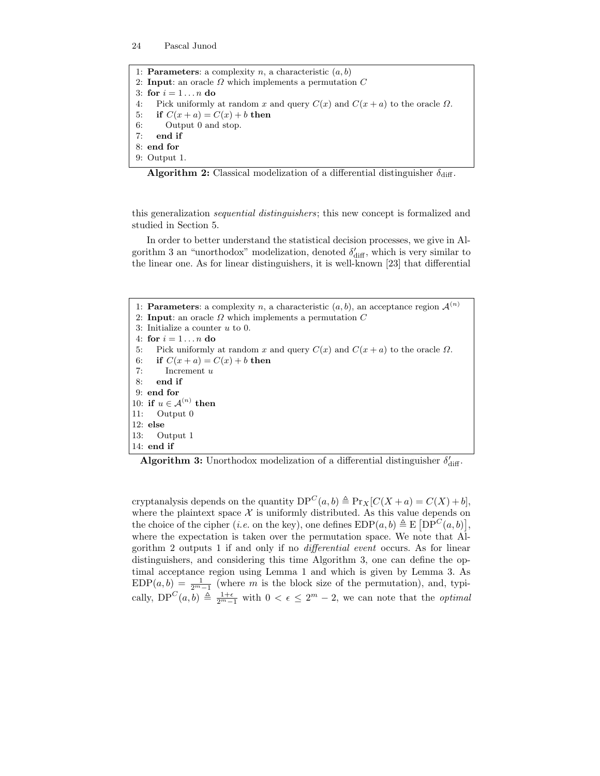1: **Parameters**: a complexity n, a characteristic  $(a, b)$ 2: Input: an oracle  $\Omega$  which implements a permutation  $C$ 3: for  $i = 1 \ldots n$  do 4: Pick uniformly at random x and query  $C(x)$  and  $C(x + a)$  to the oracle  $\Omega$ . 5: if  $C(x + a) = C(x) + b$  then 6: Output 0 and stop. 7: end if 8: end for 9: Output 1.

| <b>Algorithm 2:</b> Classical modelization of a differential distinguisher $\delta_{\text{diff}}$ . |  |
|-----------------------------------------------------------------------------------------------------|--|
|-----------------------------------------------------------------------------------------------------|--|

this generalization sequential distinguishers; this new concept is formalized and studied in Section 5.

In order to better understand the statistical decision processes, we give in Algorithm 3 an "unorthodox" modelization, denoted  $\delta'_{\text{diff}}$ , which is very similar to the linear one. As for linear distinguishers, it is well-known [23] that differential

1: **Parameters**: a complexity n, a characteristic  $(a, b)$ , an acceptance region  $\mathcal{A}^{(n)}$ 2: Input: an oracle  $\Omega$  which implements a permutation  $C$ 3: Initialize a counter  $u$  to 0. 4: for  $i = 1...n$  do 5: Pick uniformly at random x and query  $C(x)$  and  $C(x + a)$  to the oracle  $\Omega$ . 6: if  $C(x + a) = C(x) + b$  then 7: Increment u 8: end if 9: end for 10: if  $u \in A^{(n)}$  then 11: Output 0 12: else 13: Output 1 14: end if

**Algorithm 3:** Unorthodox modelization of a differential distinguisher  $\delta'_{\text{diff}}$ .

cryptanalysis depends on the quantity  $DP^C(a, b) \triangleq Pr_X[C(X + a) = C(X) + b],$ where the plaintext space  $\mathcal X$  is uniformly distributed. As this value depends on the choice of the cipher (*i.e.* on the key), one defines  $EDP(a, b) \triangleq E[DP^{C}(a, b)],$ where the expectation is taken over the permutation space. We note that Algorithm 2 outputs 1 if and only if no differential event occurs. As for linear distinguishers, and considering this time Algorithm 3, one can define the optimal acceptance region using Lemma 1 and which is given by Lemma 3. As  $EDP(a, b) = \frac{1}{2^m-1}$  (where m is the block size of the permutation), and, typically,  $DP^C(a, b) \triangleq \frac{1+\epsilon}{2^m-1}$  with  $0 < \epsilon \leq 2^m-2$ , we can note that the *optimal*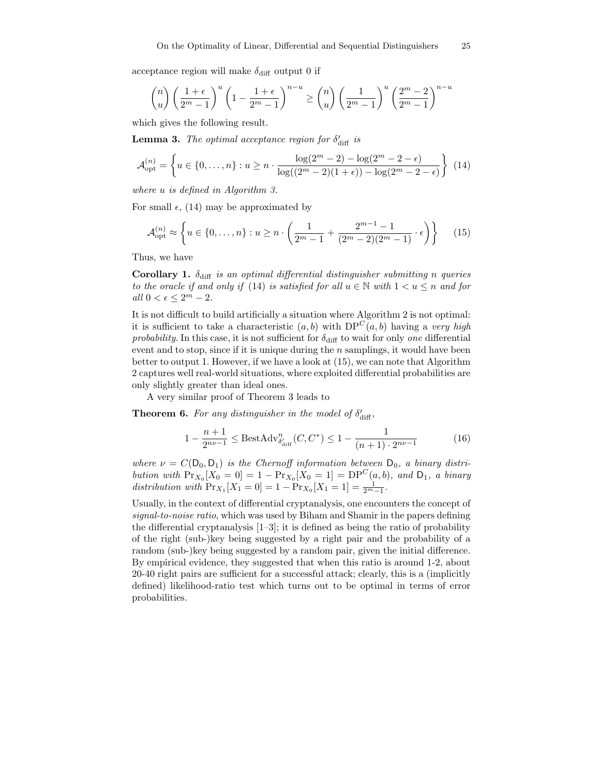acceptance region will make  $\delta_{\text{diff}}$  output 0 if

$$
\binom{n}{u} \left(\frac{1+\epsilon}{2^m-1}\right)^u \left(1 - \frac{1+\epsilon}{2^m-1}\right)^{n-u} \ge \binom{n}{u} \left(\frac{1}{2^m-1}\right)^u \left(\frac{2^m-2}{2^m-1}\right)^{n-u}
$$

which gives the following result.

**Lemma 3.** The optimal acceptance region for  $\delta'_{\text{diff}}$  is

$$
\mathcal{A}_{\text{opt}}^{(n)} = \left\{ u \in \{0, \dots, n\} : u \ge n \cdot \frac{\log(2^m - 2) - \log(2^m - 2 - \epsilon)}{\log((2^m - 2)(1 + \epsilon)) - \log(2^m - 2 - \epsilon)} \right\}
$$
(14)

where u is defined in Algorithm 3.

For small  $\epsilon$ , (14) may be approximated by

$$
\mathcal{A}_{\text{opt}}^{(n)} \approx \left\{ u \in \{0, \dots, n\} : u \ge n \cdot \left( \frac{1}{2^m - 1} + \frac{2^{m-1} - 1}{(2^m - 2)(2^m - 1)} \cdot \epsilon \right) \right\}
$$
(15)

Thus, we have

Corollary 1.  $\delta_{\text{diff}}$  is an optimal differential distinguisher submitting n queries to the oracle if and only if (14) is satisfied for all  $u \in \mathbb{N}$  with  $1 < u \leq n$  and for all  $0 < \epsilon \leq 2^m - 2$ .

It is not difficult to build artificially a situation where Algorithm 2 is not optimal: it is sufficient to take a characteristic  $(a, b)$  with  $DP<sup>C</sup>(a, b)$  having a very high probability. In this case, it is not sufficient for  $\delta_{\text{diff}}$  to wait for only one differential event and to stop, since if it is unique during the  $n$  samplings, it would have been better to output 1. However, if we have a look at (15), we can note that Algorithm 2 captures well real-world situations, where exploited differential probabilities are only slightly greater than ideal ones.

A very similar proof of Theorem 3 leads to

**Theorem 6.** For any distinguisher in the model of  $\delta'_{\text{diff}}$ ,

$$
1 - \frac{n+1}{2^{n\nu - 1}} \le \text{BestAdv}_{\delta'_{\text{diff}}}^n(C, C^*) \le 1 - \frac{1}{(n+1) \cdot 2^{n\nu - 1}} \tag{16}
$$

where  $\nu = C(D_0, D_1)$  is the Chernoff information between  $D_0$ , a binary distribution with  $Pr_{X_0}[X_0 = 0] = 1 - Pr_{X_0}[X_0 = 1] = DP^{C}(a, b)$ , and  $D_1$ , a binary distribution with  $Pr_{X_1}[X_1 = 0] = 1 - Pr_{X_0}[X_1 = 1] = \frac{1}{2^{m}-1}$ .

Usually, in the context of differential cryptanalysis, one encounters the concept of signal-to-noise ratio, which was used by Biham and Shamir in the papers defining the differential cryptanalysis  $[1-3]$ ; it is defined as being the ratio of probability of the right (sub-)key being suggested by a right pair and the probability of a random (sub-)key being suggested by a random pair, given the initial difference. By empirical evidence, they suggested that when this ratio is around 1-2, about 20-40 right pairs are sufficient for a successful attack; clearly, this is a (implicitly defined) likelihood-ratio test which turns out to be optimal in terms of error probabilities.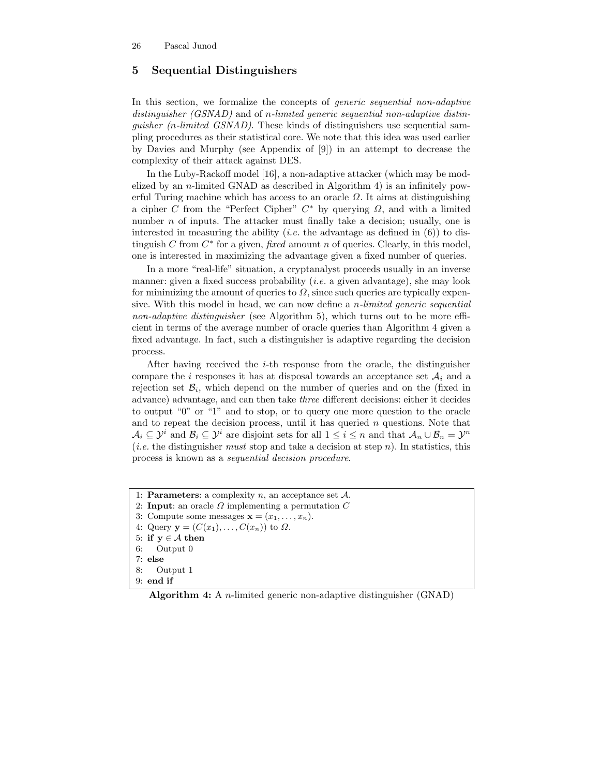# 5 Sequential Distinguishers

In this section, we formalize the concepts of *generic sequential non-adaptive* distinguisher (GSNAD) and of n-limited generic sequential non-adaptive distinquisher  $(n$ -limited  $GSNAD$ ). These kinds of distinguishers use sequential sampling procedures as their statistical core. We note that this idea was used earlier by Davies and Murphy (see Appendix of [9]) in an attempt to decrease the complexity of their attack against DES.

In the Luby-Rackoff model [16], a non-adaptive attacker (which may be modelized by an n-limited GNAD as described in Algorithm 4) is an infinitely powerful Turing machine which has access to an oracle  $\Omega$ . It aims at distinguishing a cipher C from the "Perfect Cipher"  $C^*$  by querying  $\Omega$ , and with a limited number  $n$  of inputs. The attacker must finally take a decision; usually, one is interested in measuring the ability (*i.e.* the advantage as defined in  $(6)$ ) to distinguish  $C$  from  $C^*$  for a given, *fixed* amount n of queries. Clearly, in this model, one is interested in maximizing the advantage given a fixed number of queries.

In a more "real-life" situation, a cryptanalyst proceeds usually in an inverse manner: given a fixed success probability (*i.e.* a given advantage), she may look for minimizing the amount of queries to  $\Omega$ , since such queries are typically expensive. With this model in head, we can now define a n-limited generic sequential non-adaptive distinguisher (see Algorithm 5), which turns out to be more efficient in terms of the average number of oracle queries than Algorithm 4 given a fixed advantage. In fact, such a distinguisher is adaptive regarding the decision process.

After having received the *i*-th response from the oracle, the distinguisher compare the i responses it has at disposal towards an acceptance set  $A_i$  and a rejection set  $\mathcal{B}_i$ , which depend on the number of queries and on the (fixed in advance) advantage, and can then take three different decisions: either it decides to output "0" or "1" and to stop, or to query one more question to the oracle and to repeat the decision process, until it has queried  $n$  questions. Note that  $\mathcal{A}_i \subseteq \mathcal{Y}^i$  and  $\mathcal{B}_i \subseteq \mathcal{Y}^i$  are disjoint sets for all  $1 \leq i \leq n$  and that  $\mathcal{A}_n \cup \mathcal{B}_n = \mathcal{Y}^n$ (*i.e.* the distinguisher *must* stop and take a decision at step *n*). In statistics, this process is known as a sequential decision procedure.

1: **Parameters**: a complexity  $n$ , an acceptance set  $A$ . 2: Input: an oracle  $\Omega$  implementing a permutation  $C$ 3: Compute some messages  $\mathbf{x} = (x_1, \ldots, x_n)$ . 4: Query  $\mathbf{y} = (C(x_1), \ldots, C(x_n))$  to  $\Omega$ . 5: if  $y \in A$  then 6: Output 0 7: else 8: Output 1 9: end if

Algorithm 4: A n-limited generic non-adaptive distinguisher (GNAD)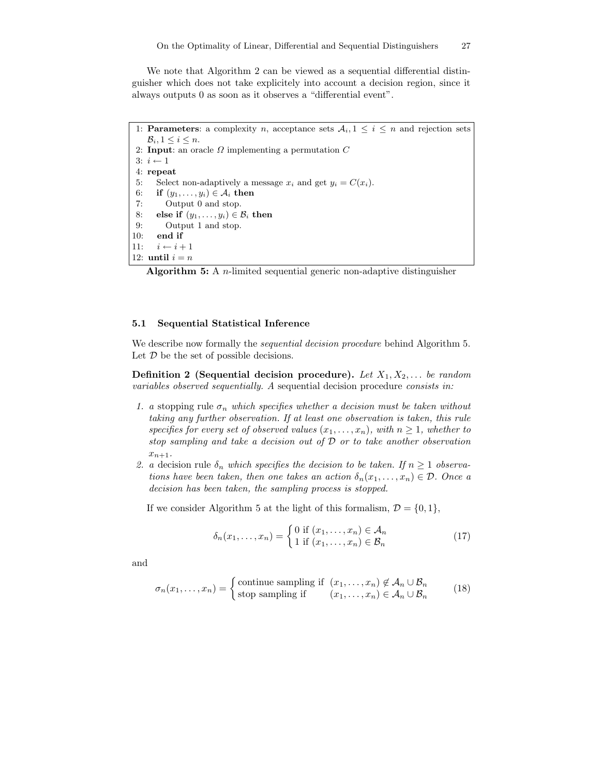We note that Algorithm 2 can be viewed as a sequential differential distinguisher which does not take explicitely into account a decision region, since it always outputs 0 as soon as it observes a "differential event".

1: **Parameters**: a complexity n, acceptance sets  $A_i, 1 \leq i \leq n$  and rejection sets  $B_i, 1 \leq i \leq n$ . 2: Input: an oracle  $\Omega$  implementing a permutation  $C$ 3:  $i \leftarrow 1$ 4: repeat 5: Select non-adaptively a message  $x_i$  and get  $y_i = C(x_i)$ . 6: if  $(y_1, \ldots, y_i) \in A_i$  then 7: Output 0 and stop. 8: else if  $(y_1, \ldots, y_i) \in \mathcal{B}_i$  then 9: Output 1 and stop. 10: end if 11:  $i \leftarrow i + 1$ 12: until  $i = n$ 

**Algorithm 5:** A *n*-limited sequential generic non-adaptive distinguisher

### 5.1 Sequential Statistical Inference

We describe now formally the *sequential decision procedure* behind Algorithm 5. Let  $D$  be the set of possible decisions.

**Definition 2** (Sequential decision procedure). Let  $X_1, X_2, \ldots$  be random variables observed sequentially. A sequential decision procedure consists in:

- 1. a stopping rule  $\sigma_n$  which specifies whether a decision must be taken without taking any further observation. If at least one observation is taken, this rule specifies for every set of observed values  $(x_1, \ldots, x_n)$ , with  $n \geq 1$ , whether to stop sampling and take a decision out of D or to take another observation  $x_{n+1}$ .
- 2. a decision rule  $\delta_n$  which specifies the decision to be taken. If  $n \geq 1$  observations have been taken, then one takes an action  $\delta_n(x_1,\ldots,x_n) \in \mathcal{D}$ . Once a decision has been taken, the sampling process is stopped.

If we consider Algorithm 5 at the light of this formalism,  $\mathcal{D} = \{0, 1\}$ ,

$$
\delta_n(x_1, \dots, x_n) = \begin{cases} 0 \text{ if } (x_1, \dots, x_n) \in \mathcal{A}_n \\ 1 \text{ if } (x_1, \dots, x_n) \in \mathcal{B}_n \end{cases}
$$
(17)

and

$$
\sigma_n(x_1, \dots, x_n) = \begin{cases}\n\text{continue sampling if } (x_1, \dots, x_n) \notin \mathcal{A}_n \cup \mathcal{B}_n \\
\text{stop sampling if } (x_1, \dots, x_n) \in \mathcal{A}_n \cup \mathcal{B}_n\n\end{cases} (18)
$$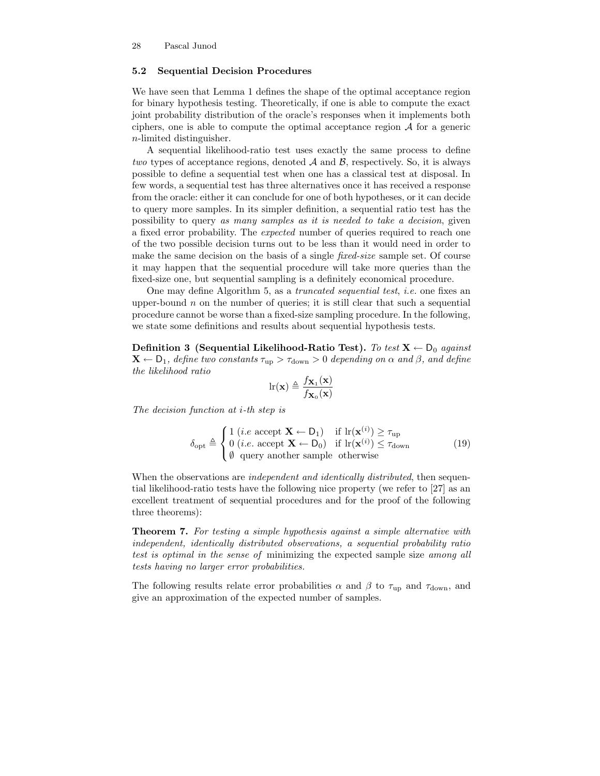### 5.2 Sequential Decision Procedures

We have seen that Lemma 1 defines the shape of the optimal acceptance region for binary hypothesis testing. Theoretically, if one is able to compute the exact joint probability distribution of the oracle's responses when it implements both ciphers, one is able to compute the optimal acceptance region  $A$  for a generic n-limited distinguisher.

A sequential likelihood-ratio test uses exactly the same process to define two types of acceptance regions, denoted  $A$  and  $B$ , respectively. So, it is always possible to define a sequential test when one has a classical test at disposal. In few words, a sequential test has three alternatives once it has received a response from the oracle: either it can conclude for one of both hypotheses, or it can decide to query more samples. In its simpler definition, a sequential ratio test has the possibility to query as many samples as it is needed to take a decision, given a fixed error probability. The expected number of queries required to reach one of the two possible decision turns out to be less than it would need in order to make the same decision on the basis of a single *fixed-size* sample set. Of course it may happen that the sequential procedure will take more queries than the fixed-size one, but sequential sampling is a definitely economical procedure.

One may define Algorithm 5, as a truncated sequential test, i.e. one fixes an upper-bound  $n$  on the number of queries; it is still clear that such a sequential procedure cannot be worse than a fixed-size sampling procedure. In the following, we state some definitions and results about sequential hypothesis tests.

Definition 3 (Sequential Likelihood-Ratio Test). To test  $X \leftarrow D_0$  against  $\mathbf{X} \leftarrow \mathsf{D}_1$ , define two constants  $\tau_{\text{up}} > \tau_{\text{down}} > 0$  depending on  $\alpha$  and  $\beta$ , and define the likelihood ratio

$$
\ln(\mathbf{x}) \triangleq \frac{f_{\mathbf{X}_1}(\mathbf{x})}{f_{\mathbf{X}_0}(\mathbf{x})}
$$

The decision function at i-th step is

$$
\delta_{\text{opt}} \triangleq \begin{cases} 1 \ (i.e \text{ accept } \mathbf{X} \leftarrow D_1) & \text{if } \text{lr}(\mathbf{x}^{(i)}) \ge \tau_{\text{up}} \\ 0 \ (i.e. \text{ accept } \mathbf{X} \leftarrow D_0) & \text{if } \text{lr}(\mathbf{x}^{(i)}) \le \tau_{\text{down}} \\ \emptyset \text{ query another sample otherwise} \end{cases} \tag{19}
$$

When the observations are *independent and identically distributed*, then sequential likelihood-ratio tests have the following nice property (we refer to [27] as an excellent treatment of sequential procedures and for the proof of the following three theorems):

Theorem 7. For testing a simple hypothesis against a simple alternative with independent, identically distributed observations, a sequential probability ratio test is optimal in the sense of minimizing the expected sample size among all tests having no larger error probabilities.

The following results relate error probabilities  $\alpha$  and  $\beta$  to  $\tau_{up}$  and  $\tau_{down}$ , and give an approximation of the expected number of samples.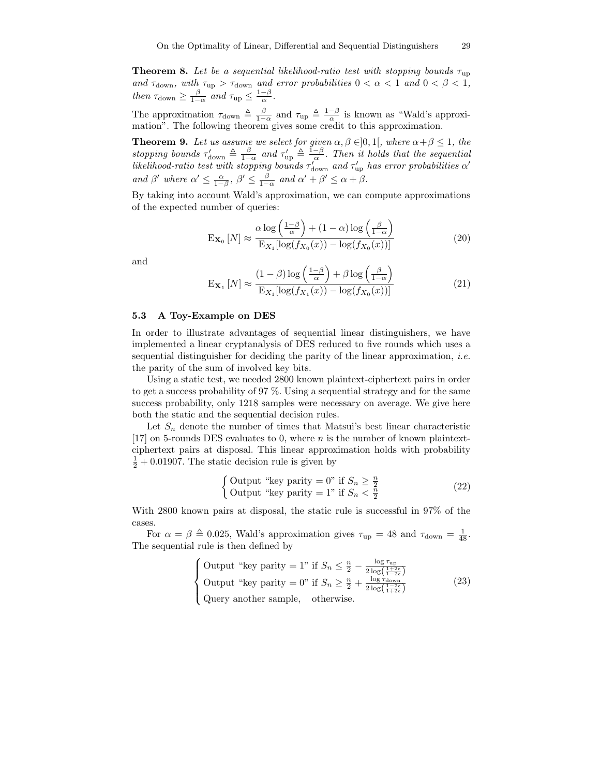**Theorem 8.** Let be a sequential likelihood-ratio test with stopping bounds  $\tau_{\text{up}}$ and  $\tau_{\rm down},$  with  $\tau_{\rm up} > \tau_{\rm down}$  and error probabilities  $0 < \alpha < 1$  and  $0 < \beta < 1$ , then  $\tau_{\text{down}} \geq \frac{\beta}{1-\alpha}$  and  $\tau_{\text{up}} \leq \frac{1-\beta}{\alpha}$ .

The approximation  $\tau_{\text{down}} \triangleq \frac{\beta}{1-\alpha}$  and  $\tau_{\text{up}} \triangleq \frac{1-\beta}{\alpha}$  is known as "Wald's approximation". The following theorem gives some credit to this approximation.

**Theorem 9.** Let us assume we select for given  $\alpha, \beta \in ]0,1[$ , where  $\alpha + \beta \leq 1$ , the stopping bounds  $\tau'_{\text{down}} \triangleq \frac{\beta}{1-\alpha}$  and  $\tau'_{\text{up}} \triangleq \frac{1-\beta}{\alpha}$ . Then it holds that the sequential likelihood-ratio test with stopping bounds  $\tau_{\text{down}}'$  and  $\tau_{\text{up}}'$  has error probabilities  $\alpha'$ and  $\beta'$  where  $\alpha' \leq \frac{\alpha}{1-\beta}$ ,  $\beta' \leq \frac{\beta}{1-\alpha}$  and  $\alpha' + \beta' \leq \alpha + \beta$ .

By taking into account Wald's approximation, we can compute approximations of the expected number of queries:

$$
\mathbf{E}_{\mathbf{X}_0}[N] \approx \frac{\alpha \log\left(\frac{1-\beta}{\alpha}\right) + (1-\alpha) \log\left(\frac{\beta}{1-\alpha}\right)}{\mathbf{E}_{X_1}[\log(f_{X_0}(x)) - \log(f_{X_0}(x))]}
$$
(20)

and

$$
\mathbf{E}_{\mathbf{X}_1}[N] \approx \frac{(1-\beta)\log\left(\frac{1-\beta}{\alpha}\right) + \beta\log\left(\frac{\beta}{1-\alpha}\right)}{\mathbf{E}_{X_1}[\log(f_{X_1}(x)) - \log(f_{X_0}(x))]}
$$
(21)

### 5.3 A Toy-Example on DES

In order to illustrate advantages of sequential linear distinguishers, we have implemented a linear cryptanalysis of DES reduced to five rounds which uses a sequential distinguisher for deciding the parity of the linear approximation, i.e. the parity of the sum of involved key bits.

Using a static test, we needed 2800 known plaintext-ciphertext pairs in order to get a success probability of 97 %. Using a sequential strategy and for the same success probability, only 1218 samples were necessary on average. We give here both the static and the sequential decision rules.

Let  $S_n$  denote the number of times that Matsui's best linear characteristic [17] on 5-rounds DES evaluates to 0, where  $n$  is the number of known plaintextciphertext pairs at disposal. This linear approximation holds with probability  $\frac{1}{2} + 0.01907$ . The static decision rule is given by

$$
\begin{cases}\n\text{Output "key parity} = 0" \text{ if } S_n \ge \frac{n}{2} \\
\text{Output "key parity} = 1" \text{ if } S_n < \frac{n}{2}\n\end{cases} \tag{22}
$$

With 2800 known pairs at disposal, the static rule is successful in 97% of the cases.

For  $\alpha = \beta \triangleq 0.025$ , Wald's approximation gives  $\tau_{\text{up}} = 48$  and  $\tau_{\text{down}} = \frac{1}{48}$ . The sequential rule is then defined by

Output "key parity = 1" if 
$$
S_n \leq \frac{n}{2} - \frac{\log \tau_{\text{up}}}{2 \log \left( \frac{1+2\epsilon}{1-2\epsilon} \right)}
$$

\nOutput "key parity = 0" if  $S_n \geq \frac{n}{2} + \frac{\log \tau_{\text{down}}}{2 \log \left( \frac{1-2\epsilon}{1+2\epsilon} \right)}$ 

\nQuery another sample, otherwise.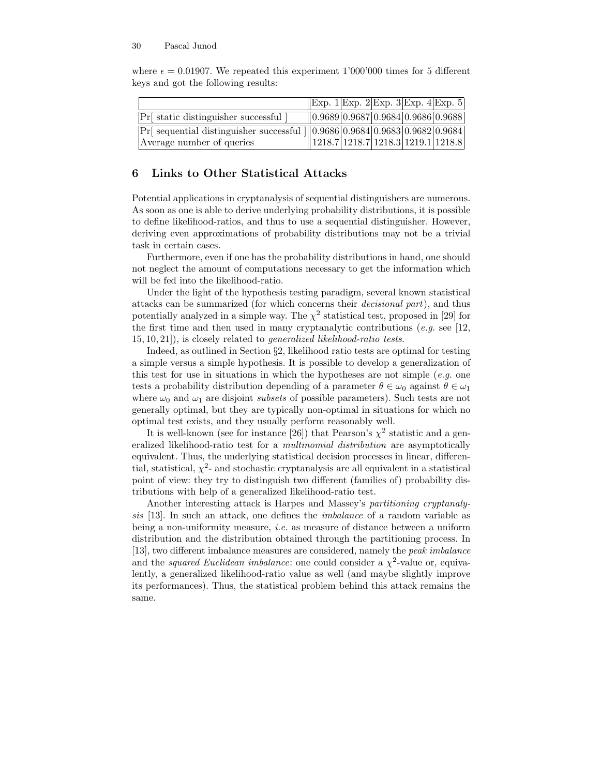|                                                                                                                                                                                                                                                    | $\vert$ Exp. 1 Exp. 2 Exp. 3 Exp. 4 Exp. 5     |  |  |
|----------------------------------------------------------------------------------------------------------------------------------------------------------------------------------------------------------------------------------------------------|------------------------------------------------|--|--|
| Pr static distinguisher successful                                                                                                                                                                                                                 | $\parallel$ 0.9689 0.9687 0.9684 0.9686 0.9688 |  |  |
| Pr[ sequential distinguisher successful ] $\left  \frac{0.9686}{0.9684} \right  0.9683 \left  0.9682 \right  0.9684$<br>Average number of queries $\left  \frac{1218.7}{1218.7} \right  1218.7 \left  1218.3 \right  1219.1 \left  1218.8 \right $ |                                                |  |  |
|                                                                                                                                                                                                                                                    |                                                |  |  |

where  $\epsilon = 0.01907$ . We repeated this experiment 1'000'000 times for 5 different keys and got the following results:

# 6 Links to Other Statistical Attacks

Potential applications in cryptanalysis of sequential distinguishers are numerous. As soon as one is able to derive underlying probability distributions, it is possible to define likelihood-ratios, and thus to use a sequential distinguisher. However, deriving even approximations of probability distributions may not be a trivial task in certain cases.

Furthermore, even if one has the probability distributions in hand, one should not neglect the amount of computations necessary to get the information which will be fed into the likelihood-ratio.

Under the light of the hypothesis testing paradigm, several known statistical attacks can be summarized (for which concerns their decisional part), and thus potentially analyzed in a simple way. The  $\chi^2$  statistical test, proposed in [29] for the first time and then used in many cryptanalytic contributions (e.g. see [12, 15, 10, 21]), is closely related to generalized likelihood-ratio tests.

Indeed, as outlined in Section §2, likelihood ratio tests are optimal for testing a simple versus a simple hypothesis. It is possible to develop a generalization of this test for use in situations in which the hypotheses are not simple  $(e.g.$  one tests a probability distribution depending of a parameter  $\theta \in \omega_0$  against  $\theta \in \omega_1$ where  $\omega_0$  and  $\omega_1$  are disjoint *subsets* of possible parameters). Such tests are not generally optimal, but they are typically non-optimal in situations for which no optimal test exists, and they usually perform reasonably well.

It is well-known (see for instance [26]) that Pearson's  $\chi^2$  statistic and a generalized likelihood-ratio test for a multinomial distribution are asymptotically equivalent. Thus, the underlying statistical decision processes in linear, differential, statistical,  $\chi^2$ - and stochastic cryptanalysis are all equivalent in a statistical point of view: they try to distinguish two different (families of) probability distributions with help of a generalized likelihood-ratio test.

Another interesting attack is Harpes and Massey's partitioning cryptanalysis [13]. In such an attack, one defines the imbalance of a random variable as being a non-uniformity measure, i.e. as measure of distance between a uniform distribution and the distribution obtained through the partitioning process. In [13], two different imbalance measures are considered, namely the peak imbalance and the *squared Euclidean imbalance*: one could consider a  $\chi^2$ -value or, equivalently, a generalized likelihood-ratio value as well (and maybe slightly improve its performances). Thus, the statistical problem behind this attack remains the same.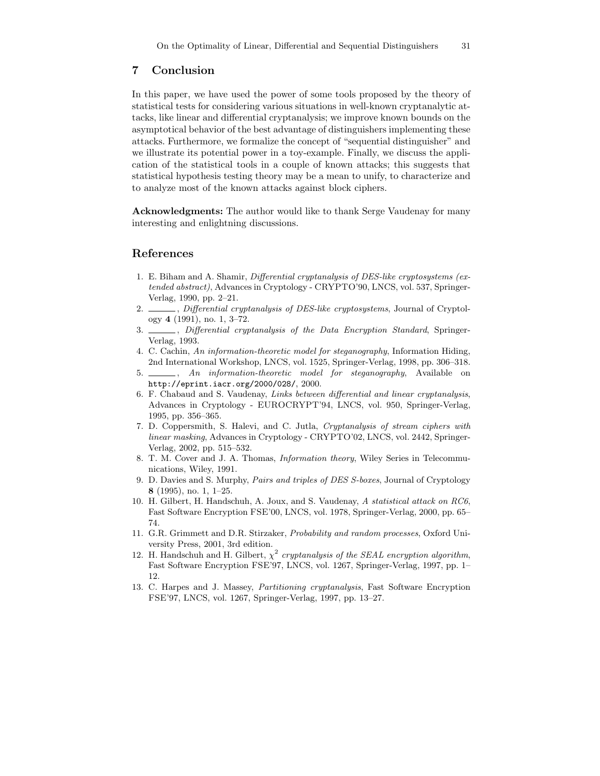## 7 Conclusion

In this paper, we have used the power of some tools proposed by the theory of statistical tests for considering various situations in well-known cryptanalytic attacks, like linear and differential cryptanalysis; we improve known bounds on the asymptotical behavior of the best advantage of distinguishers implementing these attacks. Furthermore, we formalize the concept of "sequential distinguisher" and we illustrate its potential power in a toy-example. Finally, we discuss the application of the statistical tools in a couple of known attacks; this suggests that statistical hypothesis testing theory may be a mean to unify, to characterize and to analyze most of the known attacks against block ciphers.

Acknowledgments: The author would like to thank Serge Vaudenay for many interesting and enlightning discussions.

### References

- 1. E. Biham and A. Shamir, Differential cryptanalysis of DES-like cryptosystems (extended abstract), Advances in Cryptology - CRYPTO'90, LNCS, vol. 537, Springer-Verlag, 1990, pp. 2–21.
- 2.  $\frac{1}{2}$ , Differential cryptanalysis of DES-like cryptosystems, Journal of Cryptology 4 (1991), no. 1, 3–72.
- 3. \_\_\_\_\_, Differential cryptanalysis of the Data Encryption Standard, Springer-Verlag, 1993.
- 4. C. Cachin, An information-theoretic model for steganography, Information Hiding, 2nd International Workshop, LNCS, vol. 1525, Springer-Verlag, 1998, pp. 306–318.
- 5.  $\_\_\_\_\$ n information-theoretic model for steganography, Available on http://eprint.iacr.org/2000/028/, 2000.
- 6. F. Chabaud and S. Vaudenay, Links between differential and linear cryptanalysis, Advances in Cryptology - EUROCRYPT'94, LNCS, vol. 950, Springer-Verlag, 1995, pp. 356–365.
- 7. D. Coppersmith, S. Halevi, and C. Jutla, Cryptanalysis of stream ciphers with linear masking, Advances in Cryptology - CRYPTO'02, LNCS, vol. 2442, Springer-Verlag, 2002, pp. 515–532.
- 8. T. M. Cover and J. A. Thomas, Information theory, Wiley Series in Telecommunications, Wiley, 1991.
- 9. D. Davies and S. Murphy, Pairs and triples of DES S-boxes, Journal of Cryptology 8 (1995), no. 1, 1–25.
- 10. H. Gilbert, H. Handschuh, A. Joux, and S. Vaudenay, A statistical attack on RC6, Fast Software Encryption FSE'00, LNCS, vol. 1978, Springer-Verlag, 2000, pp. 65– 74.
- 11. G.R. Grimmett and D.R. Stirzaker, Probability and random processes, Oxford University Press, 2001, 3rd edition.
- 12. H. Handschuh and H. Gilbert,  $\chi^2$  cryptanalysis of the SEAL encryption algorithm, Fast Software Encryption FSE'97, LNCS, vol. 1267, Springer-Verlag, 1997, pp. 1– 12.
- 13. C. Harpes and J. Massey, Partitioning cryptanalysis, Fast Software Encryption FSE'97, LNCS, vol. 1267, Springer-Verlag, 1997, pp. 13–27.